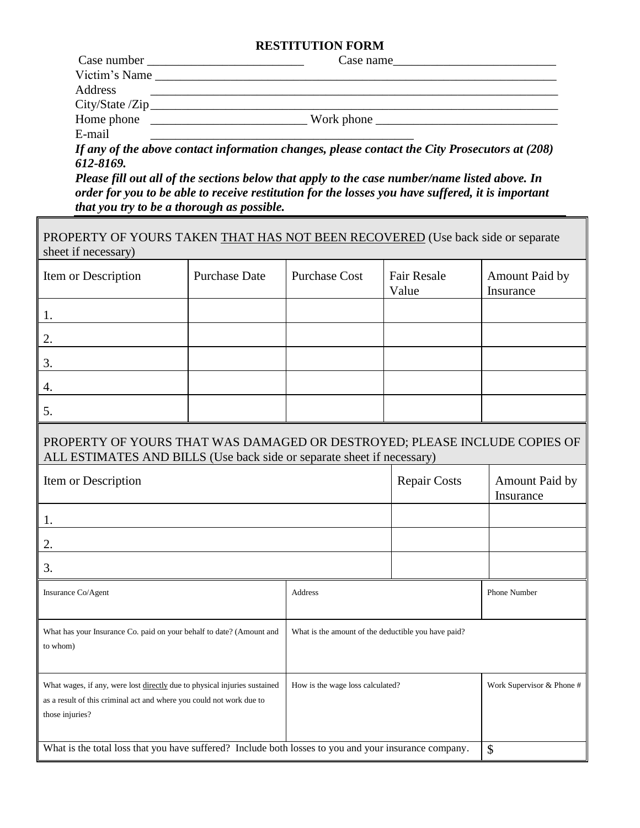## **RESTITUTION FORM**

|               | Case name                                                                                                             |
|---------------|-----------------------------------------------------------------------------------------------------------------------|
| Victim's Name | <u>and the state of the state of the state of the state of the state of the state of the state of the state of th</u> |
| Address       |                                                                                                                       |
|               |                                                                                                                       |
| Home phone    | Work phone                                                                                                            |
| E-mail        |                                                                                                                       |

*If any of the above contact information changes, please contact the City Prosecutors at (208) 612-8169.*

*Please fill out all of the sections below that apply to the case number/name listed above. In order for you to be able to receive restitution for the losses you have suffered, it is important that you try to be a thorough as possible.*

| PROPERTY OF YOURS TAKEN THAT HAS NOT BEEN RECOVERED (Use back side or separate<br>sheet if necessary)                                                                |                      |                                                     |                             |                             |  |
|----------------------------------------------------------------------------------------------------------------------------------------------------------------------|----------------------|-----------------------------------------------------|-----------------------------|-----------------------------|--|
| Item or Description                                                                                                                                                  | <b>Purchase Date</b> | <b>Purchase Cost</b>                                | <b>Fair Resale</b><br>Value | Amount Paid by<br>Insurance |  |
| 1.                                                                                                                                                                   |                      |                                                     |                             |                             |  |
| 2.                                                                                                                                                                   |                      |                                                     |                             |                             |  |
| 3.                                                                                                                                                                   |                      |                                                     |                             |                             |  |
| 4.                                                                                                                                                                   |                      |                                                     |                             |                             |  |
| 5.                                                                                                                                                                   |                      |                                                     |                             |                             |  |
| PROPERTY OF YOURS THAT WAS DAMAGED OR DESTROYED; PLEASE INCLUDE COPIES OF<br>ALL ESTIMATES AND BILLS (Use back side or separate sheet if necessary)                  |                      |                                                     |                             |                             |  |
| Item or Description                                                                                                                                                  |                      |                                                     | <b>Repair Costs</b>         | Amount Paid by<br>Insurance |  |
| 1.                                                                                                                                                                   |                      |                                                     |                             |                             |  |
| 2.                                                                                                                                                                   |                      |                                                     |                             |                             |  |
| 3.                                                                                                                                                                   |                      |                                                     |                             |                             |  |
| Insurance Co/Agent                                                                                                                                                   |                      | Address                                             |                             | Phone Number                |  |
| What has your Insurance Co. paid on your behalf to date? (Amount and<br>to whom)                                                                                     |                      | What is the amount of the deductible you have paid? |                             |                             |  |
| What wages, if any, were lost directly due to physical injuries sustained<br>as a result of this criminal act and where you could not work due to<br>those injuries? |                      | How is the wage loss calculated?                    |                             | Work Supervisor & Phone #   |  |
| What is the total loss that you have suffered? Include both losses to you and your insurance company.<br>\$                                                          |                      |                                                     |                             |                             |  |